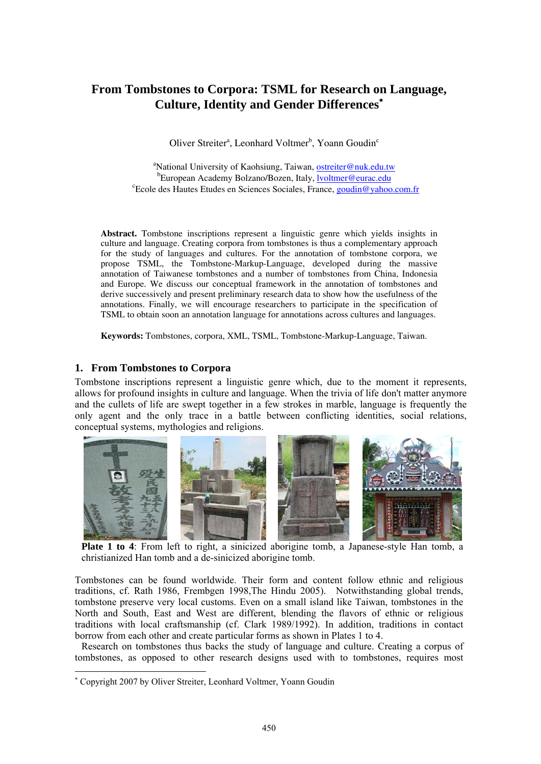# **From Tombstones to Corpora: TSML for Research on Language, Culture, Identity and Gender Differences**<sup>∗</sup>

Oliver Streiter<sup>a</sup>, Leonhard Voltmer<sup>b</sup>, Yoann Goudin<sup>c</sup>

<sup>a</sup>National University of Kaohsiung, Taiwan, **ostreiter@nuk.edu.tw** <sup>b</sup>European Academy Bolzano/Bozen, Italy, Ivoltmer@eurac.edu  ${}^c$ Ecole des Hautes Etudes en Sciences Sociales, France, goudin@yahoo.com.fr

**Abstract.** Tombstone inscriptions represent a linguistic genre which yields insights in culture and language. Creating corpora from tombstones is thus a complementary approach for the study of languages and cultures. For the annotation of tombstone corpora, we propose TSML, the Tombstone-Markup-Language, developed during the massive annotation of Taiwanese tombstones and a number of tombstones from China, Indonesia and Europe. We discuss our conceptual framework in the annotation of tombstones and derive successively and present preliminary research data to show how the usefulness of the annotations. Finally, we will encourage researchers to participate in the specification of TSML to obtain soon an annotation language for annotations across cultures and languages.

**Keywords:** Tombstones, corpora, XML, TSML, Tombstone-Markup-Language, Taiwan.

### **1. From Tombstones to Corpora**

Tombstone inscriptions represent a linguistic genre which, due to the moment it represents, allows for profound insights in culture and language. When the trivia of life don't matter anymore and the cullets of life are swept together in a few strokes in marble, language is frequently the only agent and the only trace in a battle between conflicting identities, social relations, conceptual systems, mythologies and religions.



Plate 1 to 4: From left to right, a sinicized aborigine tomb, a Japanese-style Han tomb, a christianized Han tomb and a de-sinicized aborigine tomb.

Tombstones can be found worldwide. Their form and content follow ethnic and religious traditions, cf. Rath 1986, Frembgen 1998,The Hindu 2005). Notwithstanding global trends, tombstone preserve very local customs. Even on a small island like Taiwan, tombstones in the North and South, East and West are different, blending the flavors of ethnic or religious traditions with local craftsmanship (cf. Clark 1989/1992). In addition, traditions in contact borrow from each other and create particular forms as shown in Plates 1 to 4.

Research on tombstones thus backs the study of language and culture. Creating a corpus of tombstones, as opposed to other research designs used with to tombstones, requires most

1

<sup>∗</sup> Copyright 2007 by Oliver Streiter, Leonhard Voltmer, Yoann Goudin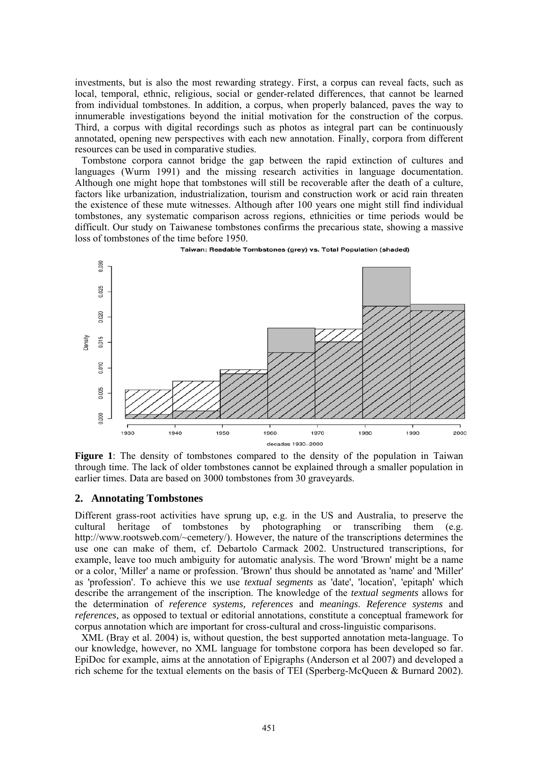investments, but is also the most rewarding strategy. First, a corpus can reveal facts, such as local, temporal, ethnic, religious, social or gender-related differences, that cannot be learned from individual tombstones. In addition, a corpus, when properly balanced, paves the way to innumerable investigations beyond the initial motivation for the construction of the corpus. Third, a corpus with digital recordings such as photos as integral part can be continuously annotated, opening new perspectives with each new annotation. Finally, corpora from different resources can be used in comparative studies.

Tombstone corpora cannot bridge the gap between the rapid extinction of cultures and languages (Wurm 1991) and the missing research activities in language documentation. Although one might hope that tombstones will still be recoverable after the death of a culture, factors like urbanization, industrialization, tourism and construction work or acid rain threaten the existence of these mute witnesses. Although after 100 years one might still find individual tombstones, any systematic comparison across regions, ethnicities or time periods would be difficult. Our study on Taiwanese tombstones confirms the precarious state, showing a massive loss of tombstones of the time before 1950.



Taiwan: Readable Tombstones (grey) vs. Total Population (shaded)

**Figure 1**: The density of tombstones compared to the density of the population in Taiwan through time. The lack of older tombstones cannot be explained through a smaller population in earlier times. Data are based on 3000 tombstones from 30 graveyards.

### **2. Annotating Tombstones**

Different grass-root activities have sprung up, e.g. in the US and Australia, to preserve the cultural heritage of tombstones by photographing or transcribing them (e.g. http://www.rootsweb.com/~cemetery/). However, the nature of the transcriptions determines the use one can make of them, cf. Debartolo Carmack 2002. Unstructured transcriptions, for example, leave too much ambiguity for automatic analysis. The word 'Brown' might be a name or a color, 'Miller' a name or profession. 'Brown' thus should be annotated as 'name' and 'Miller' as 'profession'. To achieve this we use *textual segments* as 'date', 'location', 'epitaph' which describe the arrangement of the inscription. The knowledge of the *textual segments* allows for the determination of *reference systems, references* and *meanings*. *Reference systems* and *references,* as opposed to textual or editorial annotations, constitute a conceptual framework for corpus annotation which are important for cross-cultural and cross-linguistic comparisons.

XML (Bray et al. 2004) is, without question, the best supported annotation meta-language. To our knowledge, however, no XML language for tombstone corpora has been developed so far. EpiDoc for example, aims at the annotation of Epigraphs (Anderson et al 2007) and developed a rich scheme for the textual elements on the basis of TEI (Sperberg-McQueen & Burnard 2002).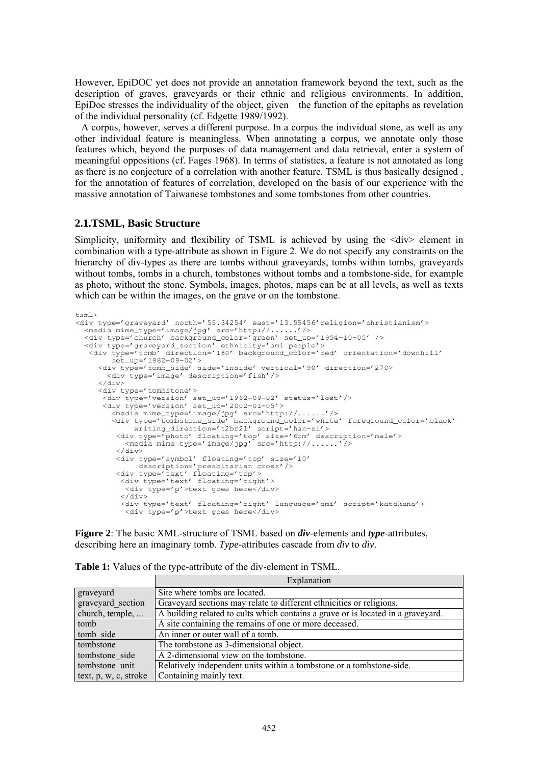However, EpiDOC yet does not provide an annotation framework beyond the text, such as the description of graves, graveyards or their ethnic and religious environments. In addition, EpiDoc stresses the individuality of the object, given the function of the epitaphs as revelation of the individual personality (cf. Edgette 1989/1992).

A corpus, however, serves a different purpose. In a corpus the individual stone, as well as any other individual feature is meaningless. When annotating a corpus, we annotate only those features which, beyond the purposes of data management and data retrieval, enter a system of meaningful oppositions (cf. Fages 1968). In terms of statistics, a feature is not annotated as long as there is no conjecture of a correlation with another feature. TSML is thus basically designed , for the annotation of features of correlation, developed on the basis of our experience with the massive annotation of Taiwanese tombstones and some tombstones from other countries.

### **2.1.TSML, Basic Structure**

Simplicity, uniformity and flexibility of TSML is achieved by using the <div> element in combination with a type-attribute as shown in Figure 2. We do not specify any constraints on the hierarchy of div-types as there are tombs without graveyards, tombs within tombs, graveyards without tombs, tombs in a church, tombstones without tombs and a tombstone-side, for example as photo, without the stone. Symbols, images, photos, maps can be at all levels, as well as texts which can be within the images, on the grave or on the tombstone.

```
tsml>
<div type='graveyard' north='55.34254' east='13.55456' religion='christianism'>
  iv type='graveyara' north='35.34234' east='15.53436' efficient.<br>
<media mime_type='image/jpg' src='http://......'/><br>
<div type='church' background_color='green' set_up='1954-10-05' /><br>
<div type='graveyard_section' ethnici
    %div type='graveyard_section' ethnicity='ami people'><br><div type='tomb' direction='180' background_color='red' orientation='downhill'<br>set_up='1962-09-02'>
       <div type='tomb_side' side='inside' vertical='90' direction='270>
          <div type="image" description="fish" />
       \langle/div>
       <div type='tombstone'>
        <div type='version' set_up='1962-09-02' status='lost'/><br>
<div type='version' set_up='2002-01-05'>
           xtype="version" set_up="2002-01-03"><br>
<media mime_type="image/jpg" src="http://......"/><br>
<div type="tombstone_side" background_color="white" foreground_color="black"
                  writing_direction='t2br2l' script='han-zi'>
             <div type="photo" floating="top" size="6cm" description="male">
                <media mime_type='image/jpg'_src='http://......'/>
             \langle/div>
             <div type='symbol' floating='top' size='10'
                    description='presbitarian cross'/>
             <div type='text' floating='top'><br>
<div type='text' floating='right'>
                <div type='p'>text goes here</div>
               \langle/div>
              <div type='text' floating='right' language='ami' script='katakana'>
                <div type='p'>text goes here</div>
```
**Figure 2**: The basic XML-structure of TSML based on *div*-elements and *type*-attributes, describing here an imaginary tomb. *Type-*attributes cascade from *div* to *div*.

|                       | Explanation                                                                      |
|-----------------------|----------------------------------------------------------------------------------|
| graveyard             | Site where tombs are located.                                                    |
| graveyard section     | Graveyard sections may relate to different ethnicities or religions.             |
| church, temple,       | A building related to cults which contains a grave or is located in a graveyard. |
| tomb                  | A site containing the remains of one or more deceased.                           |
| tomb side             | An inner or outer wall of a tomb.                                                |
| tombstone             | The tombstone as 3-dimensional object.                                           |
| tombstone side        | A 2-dimensional view on the tombstone.                                           |
| tombstone unit        | Relatively independent units within a tombstone or a tombstone-side.             |
| text, p, w, c, stroke | Containing mainly text.                                                          |

**Table 1:** Values of the type-attribute of the div-element in TSML.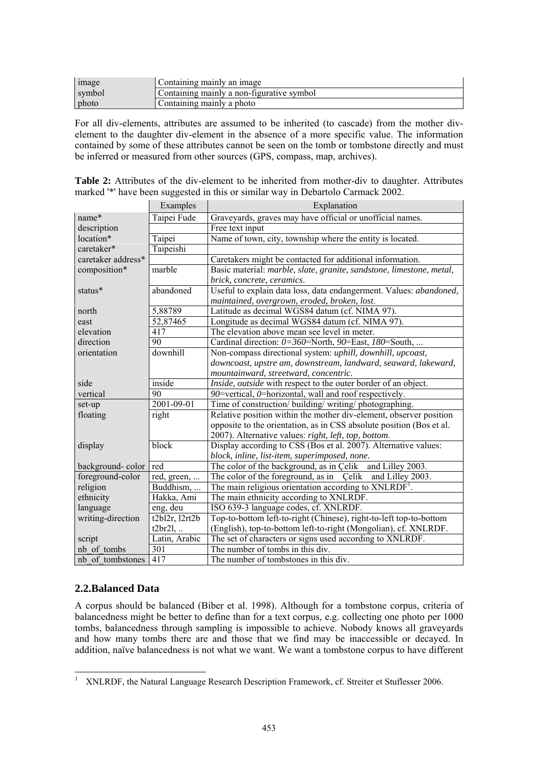| image  | Containing mainly an image                |
|--------|-------------------------------------------|
| symbol | Containing mainly a non-figurative symbol |
| photo  | Containing mainly a photo                 |

For all div-elements, attributes are assumed to be inherited (to cascade) from the mother divelement to the daughter div-element in the absence of a more specific value. The information contained by some of these attributes cannot be seen on the tomb or tombstone directly and must be inferred or measured from other sources (GPS, compass, map, archives).

|  | <b>Table 2:</b> Attributes of the div-element to be inherited from mother-div to daughter. Attributes |  |  |  |  |
|--|-------------------------------------------------------------------------------------------------------|--|--|--|--|
|  | marked "*" have been suggested in this or similar way in Debartolo Carmack 2002.                      |  |  |  |  |

|                    | Examples         | Explanation                                                          |  |  |  |
|--------------------|------------------|----------------------------------------------------------------------|--|--|--|
| name*              | Taipei Fude      | Graveyards, graves may have official or unofficial names.            |  |  |  |
| description        |                  | Free text input                                                      |  |  |  |
| location*          | Taipei           | Name of town, city, township where the entity is located.            |  |  |  |
| caretaker*         | Taipeishi        |                                                                      |  |  |  |
| caretaker address* |                  | Caretakers might be contacted for additional information.            |  |  |  |
| composition*       | marble           | Basic material: marble, slate, granite, sandstone, limestone, metal, |  |  |  |
|                    |                  | brick, concrete, ceramics.                                           |  |  |  |
| status*            | abandoned        | Useful to explain data loss, data endangerment. Values: abandoned,   |  |  |  |
|                    |                  | maintained, overgrown, eroded, broken, lost.                         |  |  |  |
| north              | 5,88789          | Latitude as decimal WGS84 datum (cf. NIMA 97).                       |  |  |  |
| east               | 52,87465         | Longitude as decimal WGS84 datum (cf. NIMA 97).                      |  |  |  |
| elevation          | 417              | The elevation above mean see level in meter.                         |  |  |  |
| direction          | 90               | Cardinal direction: 0=360=North, 90=East, 180=South,                 |  |  |  |
| orientation        | downhill         | Non-compass directional system: uphill, downhill, upcoast,           |  |  |  |
|                    |                  | downcoast, upstre am, downstream, landward, seaward, lakeward,       |  |  |  |
|                    |                  | mountainward, streetward, concentric.                                |  |  |  |
| side               | inside           | Inside, outside with respect to the outer border of an object.       |  |  |  |
| vertical           | 90               | 90=vertical, 0=horizontal, wall and roof respectively.               |  |  |  |
| set-up             | $2001 - 09 - 01$ | Time of construction/ building/ writing/ photographing.              |  |  |  |
| floating           | right            | Relative position within the mother div-element, observer position   |  |  |  |
|                    |                  | opposite to the orientation, as in CSS absolute position (Bos et al. |  |  |  |
|                    |                  | 2007). Alternative values: right, left, top, bottom.                 |  |  |  |
| display            | block            | Display according to CSS (Bos et al. 2007). Alternative values:      |  |  |  |
|                    |                  | block, inline, list-item, superimposed, none.                        |  |  |  |
| background-color   | red              | and Lilley 2003.<br>The color of the background, as in Çelik         |  |  |  |
| foreground-color   | red, green,      | The color of the foreground, as in Celik and Lilley 2003.            |  |  |  |
| religion           | Buddhism,        | The main religious orientation according to $XNLRDF1$                |  |  |  |
| ethnicity          | Hakka, Ami       | The main ethnicity according to XNLRDF.                              |  |  |  |
| language           | eng, deu         | ISO 639-3 language codes, cf. XNLRDF.                                |  |  |  |
| writing-direction  | t2bl2r, l2rt2b   | Top-to-bottom left-to-right (Chinese), right-to-left top-to-bottom   |  |  |  |
|                    | $t2br2l,$        | (English), top-to-bottom left-to-right (Mongolian), cf. XNLRDF.      |  |  |  |
| script             | Latin, Arabic    | The set of characters or signs used according to XNLRDF.             |  |  |  |
| nb of tombs        | 301              | The number of tombs in this div.                                     |  |  |  |
| nb of tombstones   | 417              | The number of tombstones in this div.                                |  |  |  |

## **2.2.Balanced Data**

A corpus should be balanced (Biber et al. 1998). Although for a tombstone corpus, criteria of balancedness might be better to define than for a text corpus, e.g. collecting one photo per 1000 tombs, balancedness through sampling is impossible to achieve. Nobody knows all graveyards and how many tombs there are and those that we find may be inaccessible or decayed. In addition, naïve balancedness is not what we want. We want a tombstone corpus to have different

 $\frac{1}{1}$ XNLRDF, the Natural Language Research Description Framework, cf. Streiter et Stuflesser 2006.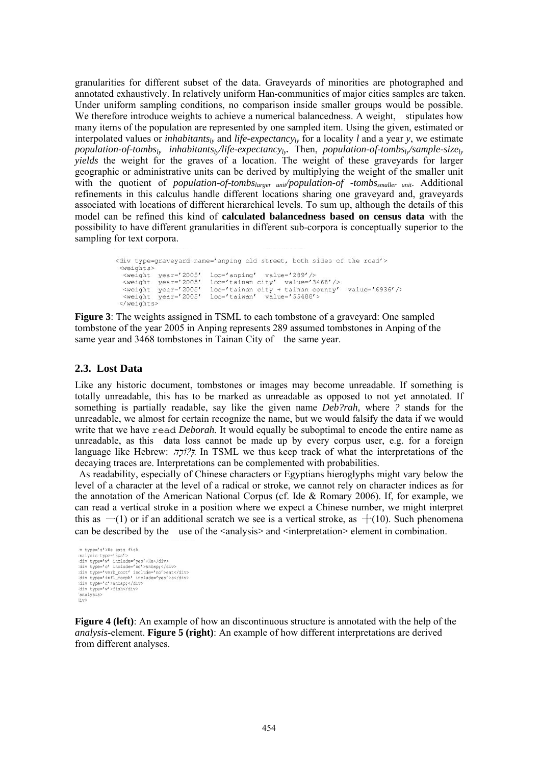granularities for different subset of the data. Graveyards of minorities are photographed and annotated exhaustively. In relatively uniform Han-communities of major cities samples are taken. Under uniform sampling conditions, no comparison inside smaller groups would be possible. We therefore introduce weights to achieve a numerical balancedness. A weight, stipulates how many items of the population are represented by one sampled item. Using the given, estimated or interpolated values or *inhabitants*<sub>ly</sub> and *life-expectancy*<sub>ly</sub> for a locality *l* and a year *y*, we estimate *population-of-tombslyinhabitantsly/life-expectancyly.* Then, *population-of-tombsly/sample-sizely yields* the weight for the graves of a location. The weight of these graveyards for larger geographic or administrative units can be derived by multiplying the weight of the smaller unit with the quotient of *population-of-tombs<sub>larger</sub>* unit/*population-of -tombs<sub>smaller</sub> unit*. Additional refinements in this calculus handle different locations sharing one graveyard and, graveyards associated with locations of different hierarchical levels. To sum up, although the details of this model can be refined this kind of **calculated balancedness based on census data** with the possibility to have different granularities in different sub-corpora is conceptually superior to the sampling for text corpora.

```
<div type=graveyard name='anping old street, both sides of the road'>
 weights%weights><br>
<weight year='2005' loc='anping' value='289'/><br>
<weight year='2005' loc='tainan city' value='3468'/><br>
<weight year='2005' loc='tainan city' tainan county' value='6936'/><br>
<weight year='2005' loc='tainan city + 
 </weights>
```
**Figure 3**: The weights assigned in TSML to each tombstone of a graveyard: One sampled tombstone of the year 2005 in Anping represents 289 assumed tombstones in Anping of the same year and 3468 tombstones in Tainan City of the same year.

### **2.3. Lost Data**

Like any historic document, tombstones or images may become unreadable. If something is totally unreadable, this has to be marked as unreadable as opposed to not yet annotated. If something is partially readable, say like the given name *Deb?rah,* where *?* stands for the unreadable, we almost for certain recognize the name, but we would falsify the data if we would write that we have read *Deborah.* It would equally be suboptimal to encode the entire name as unreadable, as this data loss cannot be made up by every corpus user, e.g. for a foreign language like Hebrew:  $\pi r/27$ . In TSML we thus keep track of what the interpretations of the decaying traces are. Interpretations can be complemented with probabilities.

As readability, especially of Chinese characters or Egyptians hieroglyphs might vary below the level of a character at the level of a radical or stroke, we cannot rely on character indices as for the annotation of the American National Corpus (cf. Ide & Romary 2006). If, for example, we can read a vertical stroke in a position where we expect a Chinese number, we might interpret this as  $-(1)$  or if an additional scratch we see is a vertical stroke, as  $+(10)$ . Such phenomena can be described by the use of the <analysis> and <interpretation> element in combination.

```
type='s'>He eats fish
x type="s /ne eats insu<br>inalysis type="3ps"><br>idiv type="w" include="yes">He</div><br>idiv type="c" include="no">&nbsp;</div>
div type="c="b=coot" include="no">ably<br/>vtype="c="b=coot" include="no">aet</div>"div type="infl_morph" include="yes">s</div>"div type="o">shbsp;</div></div>"div type="o">shbsp;</div>
analysis>
```
**Figure 4 (left)**: An example of how an discontinuous structure is annotated with the help of the *analysis*-element. **Figure 5 (right)**: An example of how different interpretations are derived from different analyses.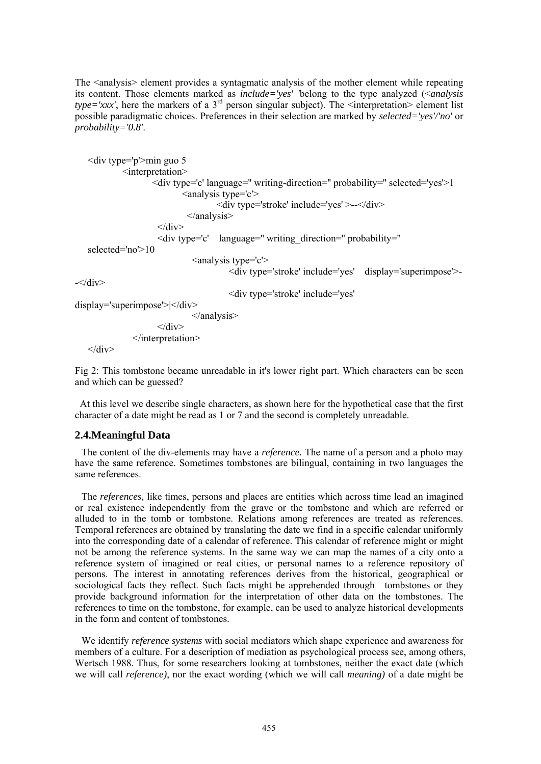The <analysis> element provides a syntagmatic analysis of the mother element while repeating its content. Those elements marked as *include='yes' '*belong to the type analyzed (<*analysis*   $type = 'xxx'$ , here the markers of a 3<sup>rd</sup> person singular subject). The  $\leq$ interpretation $\geq$  element list possible paradigmatic choices. Preferences in their selection are marked by *selected='yes'/'no'* or *probability='0.8'*.

```
\lediv type='p'>min guo 5
               <interpretation> 
                       <div type='c' language='' writing-direction='' probability='' selected='yes'>1 
                                <analysis type='c'> 
                                         \langlediv type='stroke' include='yes' >--\langlediv>
                                \langle/analysis\rangle\langlediv> <div type='c' language='' writing_direction='' probability='' 
   selected='no'>10 
                                   <analysis type='c'> 
                                             <div type='stroke' include='yes' display='superimpose'>-
-\langle \text{div} \rangle <div type='stroke' include='yes' 
display='superimpose'>|</div> 
                                   </analysis> 
                        \langlediv> </interpretation> 
   \langlediv>
```
Fig 2: This tombstone became unreadable in it's lower right part. Which characters can be seen and which can be guessed?

 At this level we describe single characters, as shown here for the hypothetical case that the first character of a date might be read as 1 or 7 and the second is completely unreadable.

### **2.4.Meaningful Data**

The content of the div-elements may have a *reference.* The name of a person and a photo may have the same reference. Sometimes tombstones are bilingual, containing in two languages the same references.

The *references,* like times, persons and places are entities which across time lead an imagined or real existence independently from the grave or the tombstone and which are referred or alluded to in the tomb or tombstone. Relations among references are treated as references. Temporal references are obtained by translating the date we find in a specific calendar uniformly into the corresponding date of a calendar of reference. This calendar of reference might or might not be among the reference systems. In the same way we can map the names of a city onto a reference system of imagined or real cities, or personal names to a reference repository of persons. The interest in annotating references derives from the historical, geographical or sociological facts they reflect. Such facts might be apprehended through tombstones or they provide background information for the interpretation of other data on the tombstones. The references to time on the tombstone, for example, can be used to analyze historical developments in the form and content of tombstones.

We identify *reference systems* with social mediators which shape experience and awareness for members of a culture. For a description of mediation as psychological process see, among others, Wertsch 1988. Thus, for some researchers looking at tombstones, neither the exact date (which we will call *reference)*, nor the exact wording (which we will call *meaning)* of a date might be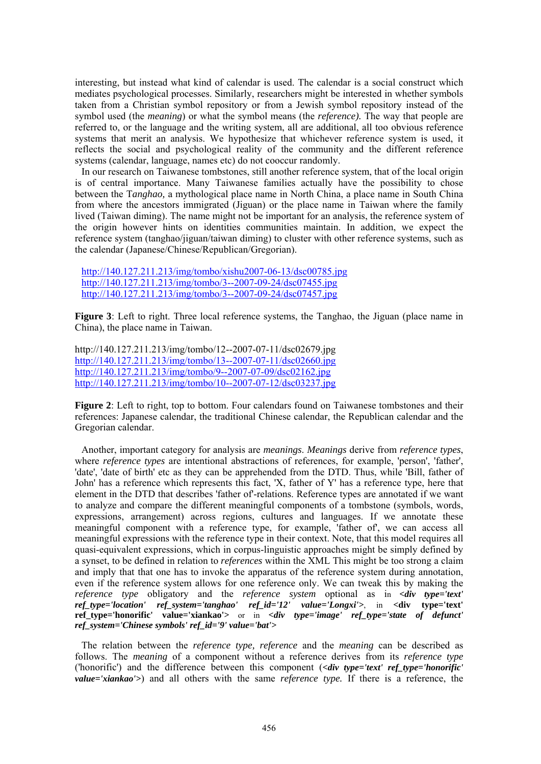interesting, but instead what kind of calendar is used. The calendar is a social construct which mediates psychological processes. Similarly, researchers might be interested in whether symbols taken from a Christian symbol repository or from a Jewish symbol repository instead of the symbol used (the *meaning*) or what the symbol means (the *reference).* The way that people are referred to, or the language and the writing system, all are additional, all too obvious reference systems that merit an analysis. We hypothesize that whichever reference system is used, it reflects the social and psychological reality of the community and the different reference systems (calendar, language, names etc) do not cooccur randomly.

In our research on Taiwanese tombstones, still another reference system, that of the local origin is of central importance. Many Taiwanese families actually have the possibility to chose between the T*anghao,* a mythological place name in North China, a place name in South China from where the ancestors immigrated (Jiguan) or the place name in Taiwan where the family lived (Taiwan diming). The name might not be important for an analysis, the reference system of the origin however hints on identities communities maintain. In addition, we expect the reference system (tanghao/jiguan/taiwan diming) to cluster with other reference systems, such as the calendar (Japanese/Chinese/Republican/Gregorian).

http://140.127.211.213/img/tombo/xishu2007-06-13/dsc00785.jpg http://140.127.211.213/img/tombo/3--2007-09-24/dsc07455.jpg http://140.127.211.213/img/tombo/3--2007-09-24/dsc07457.jpg

**Figure 3**: Left to right. Three local reference systems, the Tanghao, the Jiguan (place name in China), the place name in Taiwan.

http://140.127.211.213/img/tombo/12--2007-07-11/dsc02679.jpg http://140.127.211.213/img/tombo/13--2007-07-11/dsc02660.jpg http://140.127.211.213/img/tombo/9--2007-07-09/dsc02162.jpg http://140.127.211.213/img/tombo/10--2007-07-12/dsc03237.jpg

**Figure 2**: Left to right, top to bottom. Four calendars found on Taiwanese tombstones and their references: Japanese calendar, the traditional Chinese calendar, the Republican calendar and the Gregorian calendar.

Another, important category for analysis are *meanings*. *Meanings* derive from *reference types*, where *reference types* are intentional abstractions of references, for example, 'person', 'father', 'date', 'date of birth' etc as they can be apprehended from the DTD. Thus, while 'Bill, father of John' has a reference which represents this fact, 'X, father of Y' has a reference type, here that element in the DTD that describes 'father of'-relations. Reference types are annotated if we want to analyze and compare the different meaningful components of a tombstone (symbols, words, expressions, arrangement) across regions, cultures and languages. If we annotate these meaningful component with a reference type, for example, 'father of', we can access all meaningful expressions with the reference type in their context. Note, that this model requires all quasi-equivalent expressions, which in corpus-linguistic approaches might be simply defined by a synset, to be defined in relation to *references* within the XML This might be too strong a claim and imply that that one has to invoke the apparatus of the reference system during annotation, even if the reference system allows for one reference only. We can tweak this by making the *reference type* obligatory and the *reference system* optional as in *<div type='text' ref\_type='location' ref\_system='tanghao' ref\_id='12' value='Longxi'>*, in **<div type='text' ref\_type='honorific' value='xiankao'>** or in *<div type='image' ref\_type='state of defunct' ref\_system='Chinese symbols' ref\_id='9' value='bat'>* 

The relation between the *reference type, reference* and the *meaning* can be described as follows. The *meaning* of a component without a reference derives from its *reference type*  ('honorific') and the difference between this component (*<div type='text' ref\_type='honorific' value='xiankao'>*) and all others with the same *reference type.* If there is a reference, the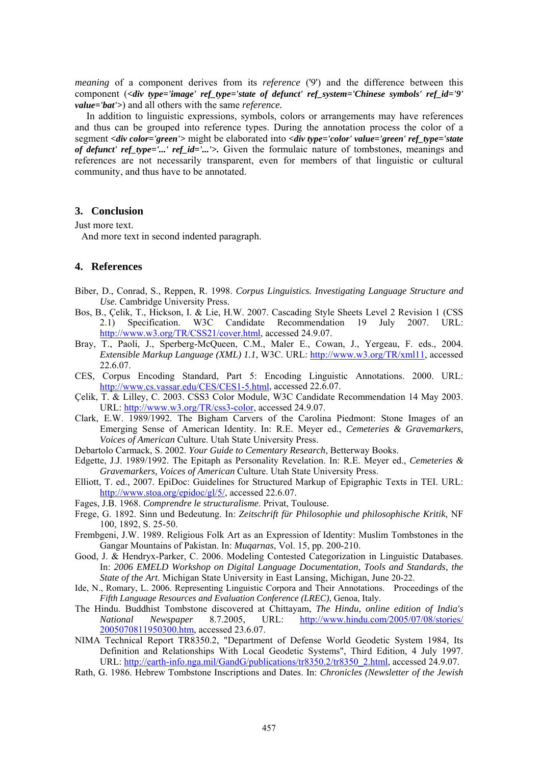*meaning* of a component derives from its *reference* ('9') and the difference between this component (*<div type='image' ref\_type='state of defunct' ref\_system='Chinese symbols' ref\_id='9' value='bat'>*) and all others with the same *reference.* 

 In addition to linguistic expressions, symbols, colors or arrangements may have references and thus can be grouped into reference types. During the annotation process the color of a segment *<div color='green'>* might be elaborated into *<div type='color' value='green' ref\_type='state of defunct' ref type='...' ref id='...'>.* Given the formulaic nature of tombstones, meanings and references are not necessarily transparent, even for members of that linguistic or cultural community, and thus have to be annotated.

### **3. Conclusion**

Just more text.

And more text in second indented paragraph.

#### **4. References**

- Biber, D., Conrad, S., Reppen, R. 1998. *Corpus Linguistics. Investigating Language Structure and Use.* Cambridge University Press.
- Bos, B., Çelik, T., Hickson, I. & Lie, H.W. 2007. Cascading Style Sheets Level 2 Revision 1 (CSS 2.1) Specification. W3C Candidate Recommendation 19 July 2007. URL: http://www.w3.org/TR/CSS21/cover.html, accessed 24.9.07.
- Bray, T., Paoli, J., Sperberg-McQueen, C.M., Maler E., Cowan, J., Yergeau, F. eds., 2004. *Extensible Markup Language (XML) 1.1*, W3C. URL: http://www.w3.org/TR/xml11, accessed 22.6.07.
- CES, Corpus Encoding Standard, Part 5: Encoding Linguistic Annotations. 2000. URL: http://www.cs.vassar.edu/CES/CES1-5.html, accessed 22.6.07.
- Çelik, T. & Lilley, C. 2003. CSS3 Color Module, W3C Candidate Recommendation 14 May 2003. URL: http://www.w3.org/TR/css3-color, accessed 24.9.07.
- Clark, E.W. 1989/1992. The Bigham Carvers of the Carolina Piedmont: Stone Images of an Emerging Sense of American Identity. In: R.E. Meyer ed., *Cemeteries & Gravemarkers, Voices of American* Culture. Utah State University Press.

Debartolo Carmack, S. 2002. *Your Guide to Cementary Research*, Betterway Books.

- Edgette, J.J. 1989/1992. The Epitaph as Personality Revelation. In: R.E. Meyer ed., *Cemeteries & Gravemarkers, Voices of American* Culture. Utah State University Press.
- Elliott, T. ed., 2007. EpiDoc: Guidelines for Structured Markup of Epigraphic Texts in TEI. URL: http://www.stoa.org/epidoc/gl/5/, accessed 22.6.07.
- Fages, J.B. 1968. *Comprendre le structuralisme*. Privat, Toulouse.
- Frege, G. 1892. Sinn und Bedeutung. In: *Zeitschrift für Philosophie und philosophische Kritik*, NF 100, 1892, S. 25-50.
- Frembgeni, J.W. 1989. Religious Folk Art as an Expression of Identity: Muslim Tombstones in the Gangar Mountains of Pakistan. In: *Muqarnas*, Vol. 15, pp. 200-210.
- Good, J. & Hendryx-Parker, C. 2006. Modeling Contested Categorization in Linguistic Databases. In: *2006 EMELD Workshop on Digital Language Documentation, Tools and Standards, the State of the Art*. Michigan State University in East Lansing, Michigan, June 20-22.
- Ide, N., Romary, L. 2006. Representing Linguistic Corpora and Their Annotations. Proceedings of the *Fifth Language Resources and Evaluation Conference (LREC)*, Genoa, Italy.
- The Hindu. Buddhist Tombstone discovered at Chittayam, *The Hindu, online edition of India's National Newspaper* 8.7.2005, URL: http://www.hindu.com/2005/07/08/stories/ 2005070811950300.htm, accessed 23.6.07.
- NIMA Technical Report TR8350.2, "Department of Defense World Geodetic System 1984, Its Definition and Relationships With Local Geodetic Systems", Third Edition, 4 July 1997. URL: http://earth-info.nga.mil/GandG/publications/tr8350.2/tr8350\_2.html, accessed 24.9.07.
- Rath, G. 1986. Hebrew Tombstone Inscriptions and Dates. In: *Chronicles (Newsletter of the Jewish*